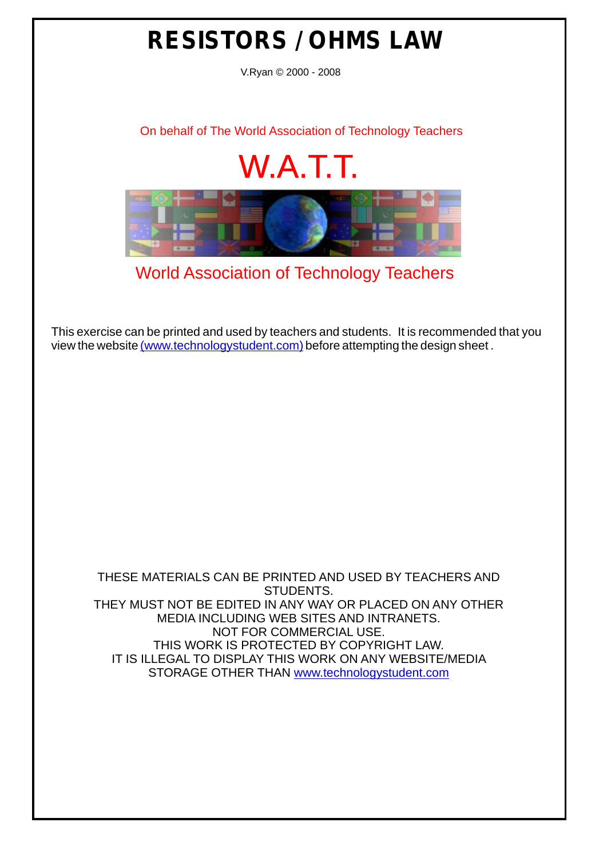## **RESISTORS / OHMS LAW**

V.Ryan © 2000 - 2008

[On behalf of The World Association of Technology Teachers](http://www.technologystudent.com)

## W.A.T.T.



[World Association of Technology Teachers](http://www.technologystudent.com)

[This exercise can be printed and used by teachers and students. It is recommended that you](http://www.technologystudent.com/designpro/drawdex.htm) view the website [\(www.technologystudent.com\)](http://www.technologystudent.com) before attempting the design sheet .

THESE MATERIALS CAN BE PRINTED AND USED BY TEACHERS AND STUDENTS. THEY MUST NOT BE EDITED IN ANY WAY OR PLACED ON ANY OTHER MEDIA INCLUDING WEB SITES AND INTRANETS. NOT FOR COMMERCIAL USE. THIS WORK IS PROTECTED BY COPYRIGHT LAW. IT IS ILLEGAL TO DISPLAY THIS WORK ON ANY WEBSITE/MEDIA STORAGE OTHER THAN [www.technologystudent.com](http://www.technologystudent.com)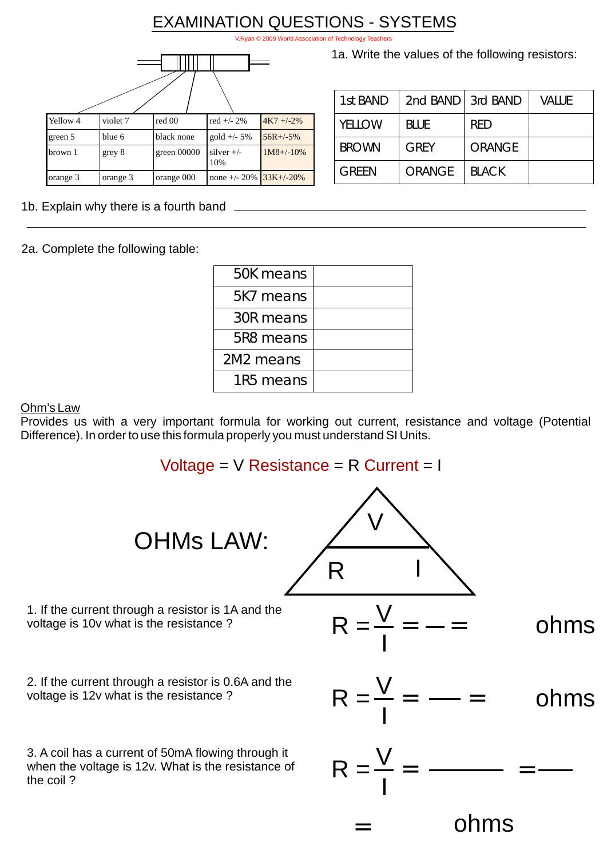## EXAMINATION QUESTIONS - SYSTEMS

V.Ryan © 2009 World Association of Technology

| Yellow 4 | violet 7 | red 00      | red $+/- 2\%$       | $4K7 + -2\%$   |
|----------|----------|-------------|---------------------|----------------|
| green 5  | blue 6   | black none  | $gold +/- 5%$       | $56R + (-5%$   |
| brown 1  | grey 8   | green 00000 | silver $+/-$<br>10% | $1M8 + (-10\%$ |
| orange 3 | orange 3 | orange 000  | none $+/- 20\%$     | $33K+/-20%$    |

1a. Write the values of the following resistors:

| 1st BAND     | 2nd BAND 3rd BAND |               | Value |
|--------------|-------------------|---------------|-------|
| YELLOW       | <b>BLUE</b>       | <b>RED</b>    |       |
| <b>BROWN</b> | <b>GREY</b>       | <b>ORANGE</b> |       |
| <b>GREEN</b> | <b>ORANGE</b>     | <b>BLACK</b>  |       |

1b. Explain why there is a fourth band

2a. Complete the following table:

| 50K means |  |
|-----------|--|
| 5K7 means |  |
| 30R means |  |
| 5R8 means |  |
| 2M2 means |  |
| 1R5 means |  |

Ohm's Law

Provides us with a very important formula for working out current, resistance and voltage (Potential Difference). In order to use this formula properly you must understand SI Units.